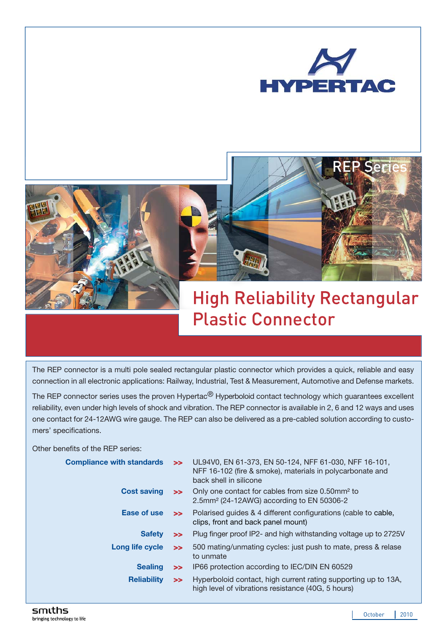





# High Reliability Rectangular Plastic Connector

The REP connector is a multi pole sealed rectangular plastic connector which provides a quick, reliable and easy connection in all electronic applications: Railway, Industrial, Test & Measurement, Automotive and Defense markets.

The REP connector series uses the proven Hypertac<sup>®</sup> Hyperboloid contact technology which guarantees excellent reliability, even under high levels of shock and vibration. The REP connector is available in 2, 6 and 12 ways and uses one contact for 24-12AWG wire gauge. The REP can also be delivered as a pre-cabled solution according to customers' specifications.

Other benefits of the REP series:

| <b>Compliance with standards</b> | $\ge$  | UL94V0, EN 61-373, EN 50-124, NFF 61-030, NFF 16-101,<br>NFF 16-102 (fire & smoke), materials in polycarbonate and<br>back shell in silicone |
|----------------------------------|--------|----------------------------------------------------------------------------------------------------------------------------------------------|
| <b>Cost saving</b>               |        | >> Only one contact for cables from size 0.50mm <sup>2</sup> to<br>2.5mm <sup>2</sup> (24-12AWG) according to EN 50306-2                     |
| Ease of use                      |        | >> Polarised guides & 4 different configurations (cable to cable,<br>clips, front and back panel mount)                                      |
| <b>Safety</b>                    | $\ge$  | Plug finger proof IP2- and high withstanding voltage up to 2725V                                                                             |
| Long life cycle                  | $\ge$  | 500 mating/unmating cycles: just push to mate, press & relase<br>to unmate                                                                   |
| <b>Sealing</b>                   | $\geq$ | IP66 protection according to IEC/DIN EN 60529                                                                                                |
| <b>Reliability</b>               | $\ge$  | Hyperboloid contact, high current rating supporting up to 13A,<br>high level of vibrations resistance (40G, 5 hours)                         |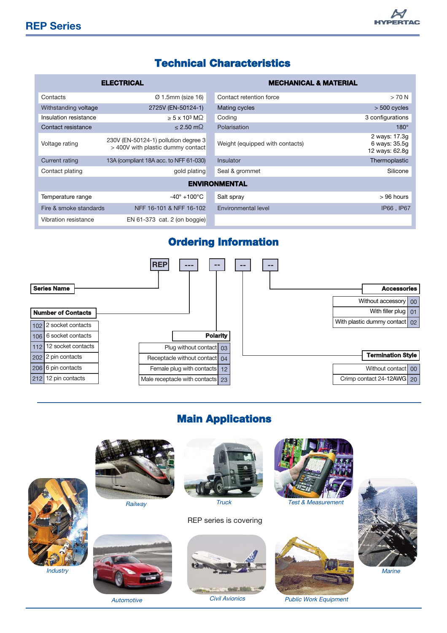## **HYPER**

#### Technical Characteristics

|                        | <b>ELECTRICAL</b>                                                         | <b>MECHANICAL &amp; MATERIAL</b> |                                                  |  |  |
|------------------------|---------------------------------------------------------------------------|----------------------------------|--------------------------------------------------|--|--|
| Contacts               | $\varnothing$ 1.5mm (size 16)                                             | Contact retention force          | $>70$ N                                          |  |  |
| Withstanding voltage   | 2725V (EN-50124-1)                                                        | Mating cycles                    | $> 500$ cycles                                   |  |  |
| Insulation resistance  | $\geq 5 \times 10^3$ M $\Omega$                                           | Coding                           | 3 configurations                                 |  |  |
| Contact resistance     | $\leq$ 2.50 m $\Omega$                                                    | Polarisation                     | $180^\circ$                                      |  |  |
| Voltage rating         | 230V (EN-50124-1) pollution degree 3<br>> 400V with plastic dummy contact | Weight (equipped with contacts)  | 2 ways: 17.3g<br>6 ways: 35.5q<br>12 ways: 62.8q |  |  |
| Current rating         | 13A (compliant 18A acc. to NFF 61-030)                                    | Insulator                        | Thermoplastic                                    |  |  |
| Contact plating        | gold plating                                                              | Seal & grommet                   | Silicone                                         |  |  |
| <b>ENVIRONMENTAL</b>   |                                                                           |                                  |                                                  |  |  |
| Temperature range      | $-40^\circ$ +100 $^{\circ}$ C                                             | Salt spray                       | $>96$ hours                                      |  |  |
| Fire & smoke standards | NFF 16-101 & NFF 16-102                                                   | Environmental level              | IP66, IP67                                       |  |  |
| Vibration resistance   | EN $61-373$ cat. 2 (on boggie)                                            |                                  |                                                  |  |  |

#### Ordering Information



### Main Applications

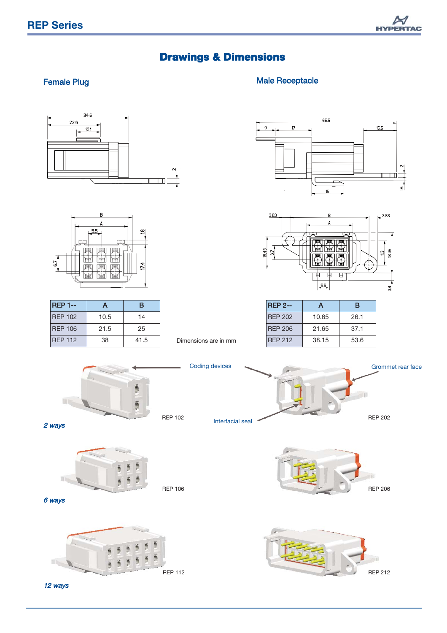

## Drawings & Dimensions

#### Female Plug **Male Receptacle** Male Receptacle





| <b>REP 1--</b> | А    | в    |
|----------------|------|------|
| <b>REP 102</b> | 10.5 | 14   |
| <b>REP 106</b> | 21.5 | 25   |
| <b>REP 112</b> | 38   | 41.5 |

Dimensions are in mm

Coding devices

Interfacial seal





| <b>REP 2--</b> | А     | в    |
|----------------|-------|------|
| RFP 202        | 10.65 | 26.1 |
| RFP 206        | 21.65 | 37.1 |
| <b>REP 212</b> | 38.15 | 53.6 |





2 ways



REP 106



REP 202

Grommet rear face







12 ways